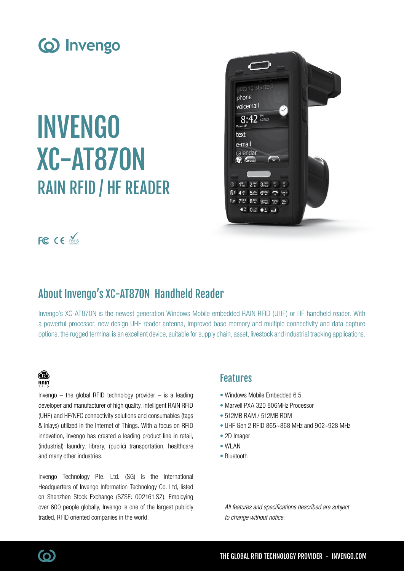

# INVENGO XC-AT870N RAIN RFID / HF READER



FC CE ROHS

# About Invengo's XC-AT870N Handheld Reader

Invengo's XC-AT870N is the newest generation Windows Mobile embedded RAIN RFID (UHF) or HF handheld reader. With a powerful processor, new design UHF reader antenna, improved base memory and multiple connectivity and data capture options, the rugged terminal is an excellent device, suitable for supply chain, asset, livestock and industrial tracking applications.

### ⋒ **RAIN**

Invengo  $-$  the global RFID technology provider  $-$  is a leading developer and manufacturer of high quality, intelligent RAIN RFID (UHF) and HF/NFC connectivity solutions and consumables (tags & inlays) utilized in the Internet of Things. With a focus on RFID innovation, Invengo has created a leading product line in retail, (industrial) laundry, library, (public) transportation, healthcare and many other industries.

Invengo Technology Pte. Ltd. (SG) is the International Headquarters of Invengo Information Technology Co. Ltd, listed on Shenzhen Stock Exchange (SZSE: 002161.SZ). Employing over 600 people globally, Invengo is one of the largest publicly traded, RFID oriented companies in the world.

## Features

- Windows Mobile Embedded 6.5
- Marvell PXA 320 806MHz Processor
- 512MB RAM / 512MB ROM
- UHF Gen 2 RFID 865~868 MHz and 902~928 MHz
- 2D Imager
- WI AN
- Bluetooth

All features and specifications described are subject to change without notice.